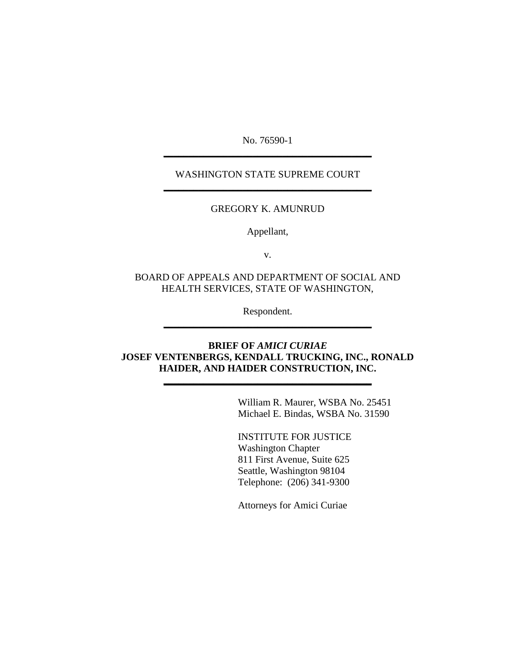No. 76590-1 **\_\_\_\_\_\_\_\_\_\_\_\_\_\_\_\_\_\_\_\_\_\_\_\_\_\_\_\_\_\_\_\_\_\_\_\_\_\_\_\_\_\_**

#### WASHINGTON STATE SUPREME COURT **\_\_\_\_\_\_\_\_\_\_\_\_\_\_\_\_\_\_\_\_\_\_\_\_\_\_\_\_\_\_\_\_\_\_\_\_\_\_\_\_\_\_**

#### GREGORY K. AMUNRUD

Appellant,

v.

#### BOARD OF APPEALS AND DEPARTMENT OF SOCIAL AND HEALTH SERVICES, STATE OF WASHINGTON,

Respondent. **\_\_\_\_\_\_\_\_\_\_\_\_\_\_\_\_\_\_\_\_\_\_\_\_\_\_\_\_\_\_\_\_\_\_\_\_\_\_\_\_\_\_**

### **BRIEF OF** *AMICI CURIAE* **JOSEF VENTENBERGS, KENDALL TRUCKING, INC., RONALD HAIDER, AND HAIDER CONSTRUCTION, INC.**

**\_\_\_\_\_\_\_\_\_\_\_\_\_\_\_\_\_\_\_\_\_\_\_\_\_\_\_\_\_\_\_\_\_\_\_\_\_\_\_\_\_\_**

William R. Maurer, WSBA No. 25451 Michael E. Bindas, WSBA No. 31590

INSTITUTE FOR JUSTICE Washington Chapter 811 First Avenue, Suite 625 Seattle, Washington 98104 Telephone: (206) 341-9300

Attorneys for Amici Curiae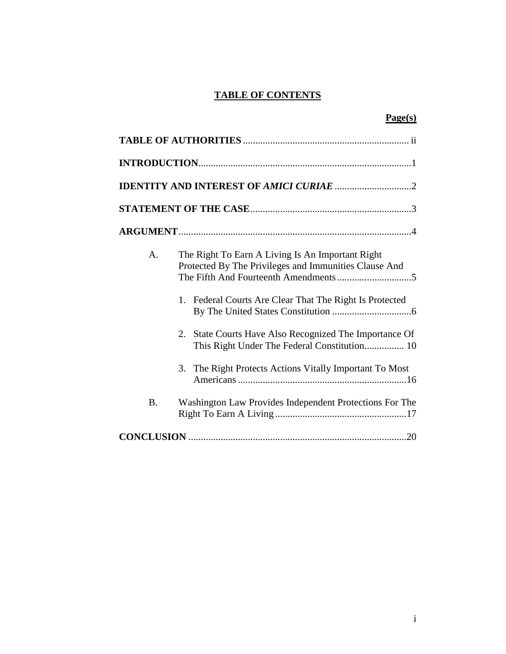# **TABLE OF CONTENTS**

|           | Page(s)                                                                                                                                                                                                                                                                                                                                      |
|-----------|----------------------------------------------------------------------------------------------------------------------------------------------------------------------------------------------------------------------------------------------------------------------------------------------------------------------------------------------|
|           |                                                                                                                                                                                                                                                                                                                                              |
|           |                                                                                                                                                                                                                                                                                                                                              |
|           |                                                                                                                                                                                                                                                                                                                                              |
|           |                                                                                                                                                                                                                                                                                                                                              |
|           |                                                                                                                                                                                                                                                                                                                                              |
| A.        | The Right To Earn A Living Is An Important Right<br>Protected By The Privileges and Immunities Clause And<br>Federal Courts Are Clear That The Right Is Protected<br>1.<br>2. State Courts Have Also Recognized The Importance Of<br>This Right Under The Federal Constitution 10<br>3. The Right Protects Actions Vitally Important To Most |
| <b>B.</b> | Washington Law Provides Independent Protections For The                                                                                                                                                                                                                                                                                      |
|           |                                                                                                                                                                                                                                                                                                                                              |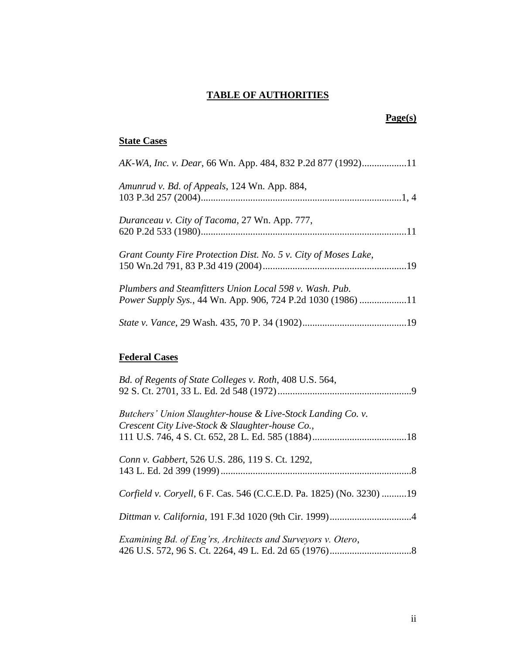### **TABLE OF AUTHORITIES**

### **Page(s)**

### **State Cases**

| AK-WA, Inc. v. Dear, 66 Wn. App. 484, 832 P.2d 877 (1992)11     |  |
|-----------------------------------------------------------------|--|
| Amunrud v. Bd. of Appeals, 124 Wn. App. 884,                    |  |
|                                                                 |  |
| Duranceau v. City of Tacoma, 27 Wn. App. 777,                   |  |
|                                                                 |  |
| Grant County Fire Protection Dist. No. 5 v. City of Moses Lake, |  |
|                                                                 |  |
| Plumbers and Steamfitters Union Local 598 v. Wash. Pub.         |  |
| Power Supply Sys., 44 Wn. App. 906, 724 P.2d 1030 (1986) 11     |  |
|                                                                 |  |

# **Federal Cases**

| Bd. of Regents of State Colleges v. Roth, 408 U.S. 564,              |
|----------------------------------------------------------------------|
|                                                                      |
| Butchers' Union Slaughter-house & Live-Stock Landing Co. v.          |
| Crescent City Live-Stock & Slaughter-house Co.,                      |
|                                                                      |
| Conn v. Gabbert, 526 U.S. 286, 119 S. Ct. 1292,                      |
|                                                                      |
| Corfield v. Coryell, 6 F. Cas. 546 (C.C.E.D. Pa. 1825) (No. 3230) 19 |
|                                                                      |
|                                                                      |
| Examining Bd. of Eng'rs, Architects and Surveyors v. Otero,          |
|                                                                      |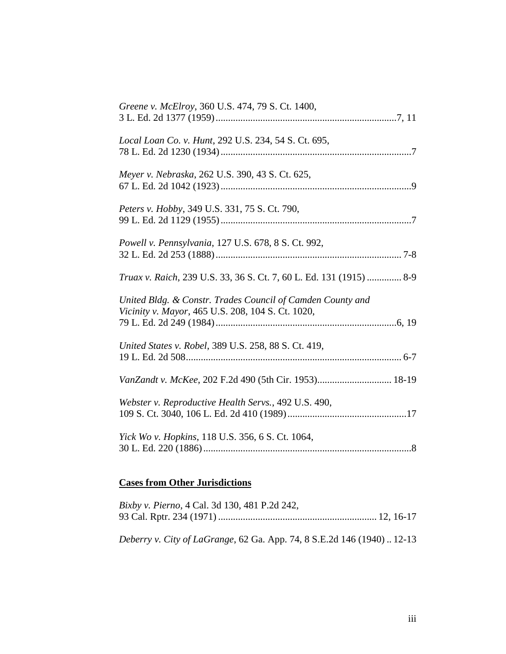| Greene v. McElroy, 360 U.S. 474, 79 S. Ct. 1400,                                                                |  |
|-----------------------------------------------------------------------------------------------------------------|--|
| Local Loan Co. v. Hunt, 292 U.S. 234, 54 S. Ct. 695,                                                            |  |
| Meyer v. Nebraska, 262 U.S. 390, 43 S. Ct. 625,                                                                 |  |
| Peters v. Hobby, 349 U.S. 331, 75 S. Ct. 790,                                                                   |  |
| Powell v. Pennsylvania, 127 U.S. 678, 8 S. Ct. 992,                                                             |  |
| Truax v. Raich, 239 U.S. 33, 36 S. Ct. 7, 60 L. Ed. 131 (1915)  8-9                                             |  |
| United Bldg. & Constr. Trades Council of Camden County and<br>Vicinity v. Mayor, 465 U.S. 208, 104 S. Ct. 1020, |  |
| United States v. Robel, 389 U.S. 258, 88 S. Ct. 419,                                                            |  |
| VanZandt v. McKee, 202 F.2d 490 (5th Cir. 1953) 18-19                                                           |  |
| Webster v. Reproductive Health Servs., 492 U.S. 490,                                                            |  |
| Yick Wo v. Hopkins, 118 U.S. 356, 6 S. Ct. 1064,                                                                |  |

## **Cases from Other Jurisdictions**

| <i>Bixby v. Pierno, 4 Cal. 3d 130, 481 P.2d 242,</i>                   |  |
|------------------------------------------------------------------------|--|
|                                                                        |  |
|                                                                        |  |
| Deberry v. City of LaGrange, 62 Ga. App. 74, 8 S.E.2d 146 (1940) 12-13 |  |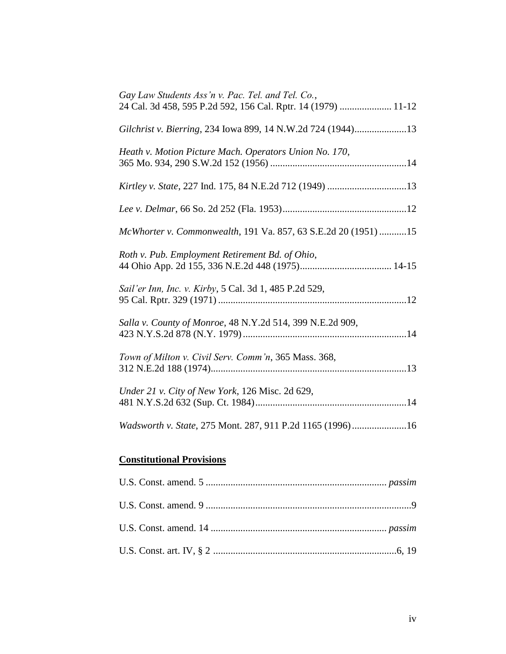| <b>Constitutional Provisions</b>                                                                                   |
|--------------------------------------------------------------------------------------------------------------------|
| Wadsworth v. State, 275 Mont. 287, 911 P.2d 1165 (1996)16                                                          |
| Under 21 v. City of New York, 126 Misc. 2d 629,                                                                    |
| Town of Milton v. Civil Serv. Comm'n, 365 Mass. 368,                                                               |
| Salla v. County of Monroe, 48 N.Y.2d 514, 399 N.E.2d 909,                                                          |
| Sail'er Inn, Inc. v. Kirby, 5 Cal. 3d 1, 485 P.2d 529,                                                             |
| Roth v. Pub. Employment Retirement Bd. of Ohio,                                                                    |
| McWhorter v. Commonwealth, 191 Va. 857, 63 S.E.2d 20 (1951) 15                                                     |
|                                                                                                                    |
| Kirtley v. State, 227 Ind. 175, 84 N.E.2d 712 (1949) 13                                                            |
| Heath v. Motion Picture Mach. Operators Union No. 170,                                                             |
| Gilchrist v. Bierring, 234 Iowa 899, 14 N.W.2d 724 (1944)13                                                        |
| Gay Law Students Ass'n v. Pac. Tel. and Tel. Co.,<br>24 Cal. 3d 458, 595 P.2d 592, 156 Cal. Rptr. 14 (1979)  11-12 |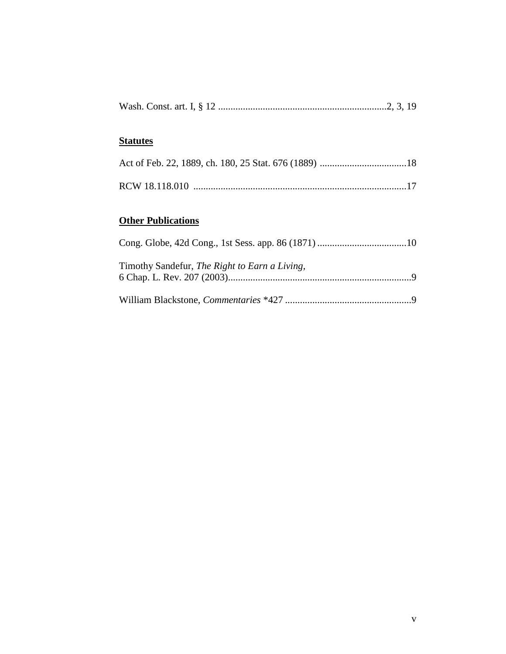|--|--|--|

### **Statutes**

# **Other Publications**

| Timothy Sandefur, The Right to Earn a Living, |  |
|-----------------------------------------------|--|
|                                               |  |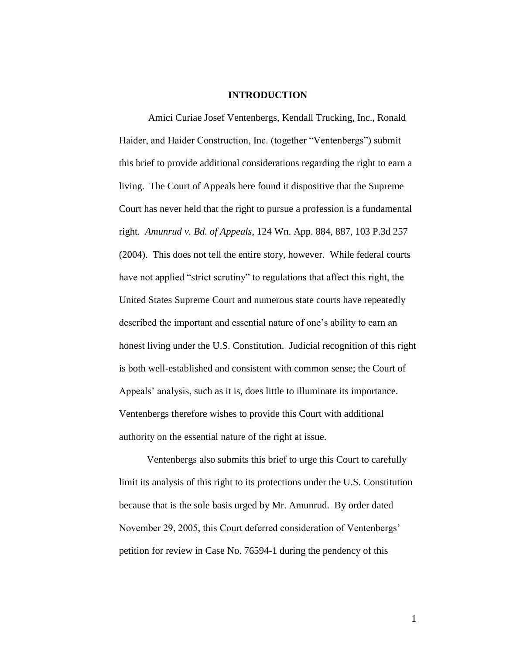#### **INTRODUCTION**

Amici Curiae Josef Ventenbergs, Kendall Trucking, Inc., Ronald Haider, and Haider Construction, Inc. (together "Ventenbergs") submit this brief to provide additional considerations regarding the right to earn a living. The Court of Appeals here found it dispositive that the Supreme Court has never held that the right to pursue a profession is a fundamental right. *Amunrud v. Bd. of Appeals*, 124 Wn. App. 884, 887, 103 P.3d 257 (2004). This does not tell the entire story, however. While federal courts have not applied "strict scrutiny" to regulations that affect this right, the United States Supreme Court and numerous state courts have repeatedly described the important and essential nature of one's ability to earn an honest living under the U.S. Constitution. Judicial recognition of this right is both well-established and consistent with common sense; the Court of Appeals' analysis, such as it is, does little to illuminate its importance. Ventenbergs therefore wishes to provide this Court with additional authority on the essential nature of the right at issue.

Ventenbergs also submits this brief to urge this Court to carefully limit its analysis of this right to its protections under the U.S. Constitution because that is the sole basis urged by Mr. Amunrud. By order dated November 29, 2005, this Court deferred consideration of Ventenbergs' petition for review in Case No. 76594-1 during the pendency of this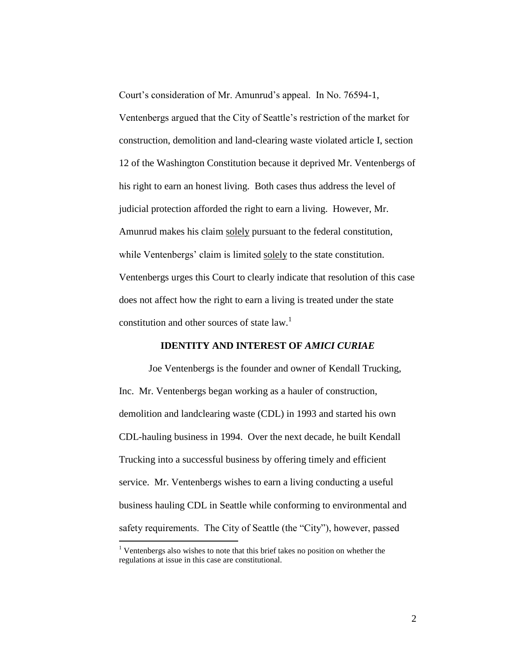Court's consideration of Mr. Amunrud's appeal. In No. 76594-1,

Ventenbergs argued that the City of Seattle's restriction of the market for construction, demolition and land-clearing waste violated article I, section 12 of the Washington Constitution because it deprived Mr. Ventenbergs of his right to earn an honest living. Both cases thus address the level of judicial protection afforded the right to earn a living. However, Mr. Amunrud makes his claim solely pursuant to the federal constitution, while Ventenbergs' claim is limited solely to the state constitution. Ventenbergs urges this Court to clearly indicate that resolution of this case does not affect how the right to earn a living is treated under the state constitution and other sources of state  $law$ <sup>1</sup>

#### **IDENTITY AND INTEREST OF** *AMICI CURIAE*

Joe Ventenbergs is the founder and owner of Kendall Trucking, Inc. Mr. Ventenbergs began working as a hauler of construction, demolition and landclearing waste (CDL) in 1993 and started his own CDL-hauling business in 1994. Over the next decade, he built Kendall Trucking into a successful business by offering timely and efficient service. Mr. Ventenbergs wishes to earn a living conducting a useful business hauling CDL in Seattle while conforming to environmental and safety requirements. The City of Seattle (the "City"), however, passed

 $\overline{a}$ 

<sup>&</sup>lt;sup>1</sup> Ventenbergs also wishes to note that this brief takes no position on whether the regulations at issue in this case are constitutional.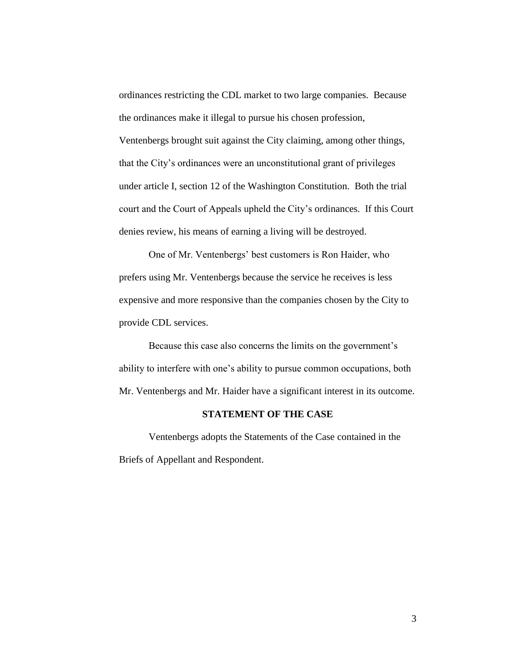ordinances restricting the CDL market to two large companies. Because the ordinances make it illegal to pursue his chosen profession, Ventenbergs brought suit against the City claiming, among other things, that the City's ordinances were an unconstitutional grant of privileges under article I, section 12 of the Washington Constitution. Both the trial court and the Court of Appeals upheld the City's ordinances. If this Court denies review, his means of earning a living will be destroyed.

One of Mr. Ventenbergs' best customers is Ron Haider, who prefers using Mr. Ventenbergs because the service he receives is less expensive and more responsive than the companies chosen by the City to provide CDL services.

Because this case also concerns the limits on the government's ability to interfere with one's ability to pursue common occupations, both Mr. Ventenbergs and Mr. Haider have a significant interest in its outcome.

#### **STATEMENT OF THE CASE**

Ventenbergs adopts the Statements of the Case contained in the Briefs of Appellant and Respondent.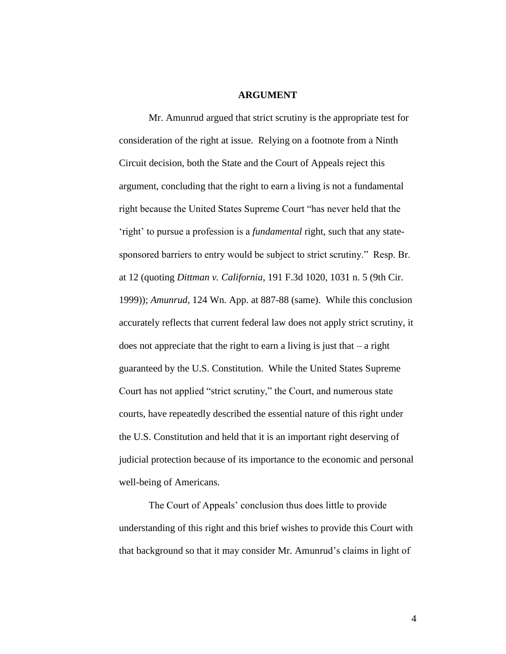#### **ARGUMENT**

Mr. Amunrud argued that strict scrutiny is the appropriate test for consideration of the right at issue. Relying on a footnote from a Ninth Circuit decision, both the State and the Court of Appeals reject this argument, concluding that the right to earn a living is not a fundamental right because the United States Supreme Court "has never held that the 'right' to pursue a profession is a *fundamental* right, such that any statesponsored barriers to entry would be subject to strict scrutiny." Resp. Br. at 12 (quoting *Dittman v. California*, 191 F.3d 1020, 1031 n. 5 (9th Cir. 1999)); *Amunrud*, 124 Wn. App. at 887-88 (same). While this conclusion accurately reflects that current federal law does not apply strict scrutiny, it does not appreciate that the right to earn a living is just that – a right guaranteed by the U.S. Constitution. While the United States Supreme Court has not applied "strict scrutiny," the Court, and numerous state courts, have repeatedly described the essential nature of this right under the U.S. Constitution and held that it is an important right deserving of judicial protection because of its importance to the economic and personal well-being of Americans.

The Court of Appeals' conclusion thus does little to provide understanding of this right and this brief wishes to provide this Court with that background so that it may consider Mr. Amunrud's claims in light of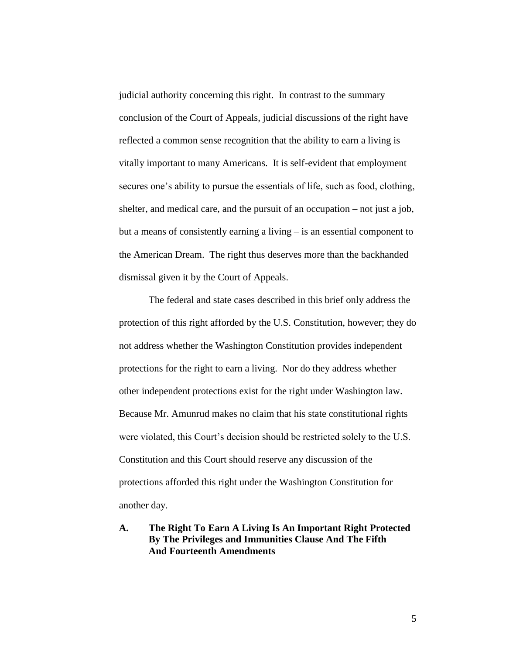judicial authority concerning this right. In contrast to the summary conclusion of the Court of Appeals, judicial discussions of the right have reflected a common sense recognition that the ability to earn a living is vitally important to many Americans. It is self-evident that employment secures one's ability to pursue the essentials of life, such as food, clothing, shelter, and medical care, and the pursuit of an occupation – not just a job, but a means of consistently earning a living – is an essential component to the American Dream. The right thus deserves more than the backhanded dismissal given it by the Court of Appeals.

The federal and state cases described in this brief only address the protection of this right afforded by the U.S. Constitution, however; they do not address whether the Washington Constitution provides independent protections for the right to earn a living. Nor do they address whether other independent protections exist for the right under Washington law. Because Mr. Amunrud makes no claim that his state constitutional rights were violated, this Court's decision should be restricted solely to the U.S. Constitution and this Court should reserve any discussion of the protections afforded this right under the Washington Constitution for another day.

### **A. The Right To Earn A Living Is An Important Right Protected By The Privileges and Immunities Clause And The Fifth And Fourteenth Amendments**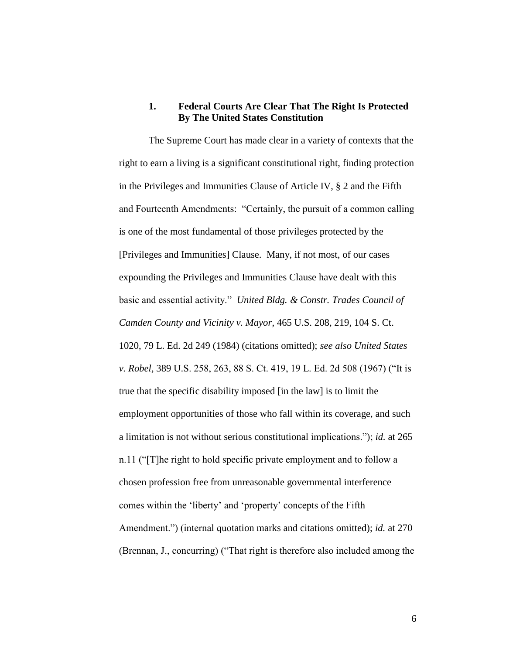#### **1. Federal Courts Are Clear That The Right Is Protected By The United States Constitution**

The Supreme Court has made clear in a variety of contexts that the right to earn a living is a significant constitutional right, finding protection in the Privileges and Immunities Clause of Article IV, § 2 and the Fifth and Fourteenth Amendments: "Certainly, the pursuit of a common calling is one of the most fundamental of those privileges protected by the [Privileges and Immunities] Clause. Many, if not most, of our cases expounding the Privileges and Immunities Clause have dealt with this basic and essential activity." *United Bldg. & Constr. Trades Council of Camden County and Vicinity v. Mayor*, 465 U.S. 208, 219, 104 S. Ct. 1020, 79 L. Ed. 2d 249 (1984) (citations omitted); *see also United States v. Robel,* 389 U.S. 258, 263, 88 S. Ct. 419, 19 L. Ed. 2d 508 (1967) ("It is true that the specific disability imposed [in the law] is to limit the employment opportunities of those who fall within its coverage, and such a limitation is not without serious constitutional implications."); *id.* at 265 n.11 ("[T]he right to hold specific private employment and to follow a chosen profession free from unreasonable governmental interference comes within the 'liberty' and 'property' concepts of the Fifth Amendment.") (internal quotation marks and citations omitted); *id.* at 270 (Brennan, J., concurring) ("That right is therefore also included among the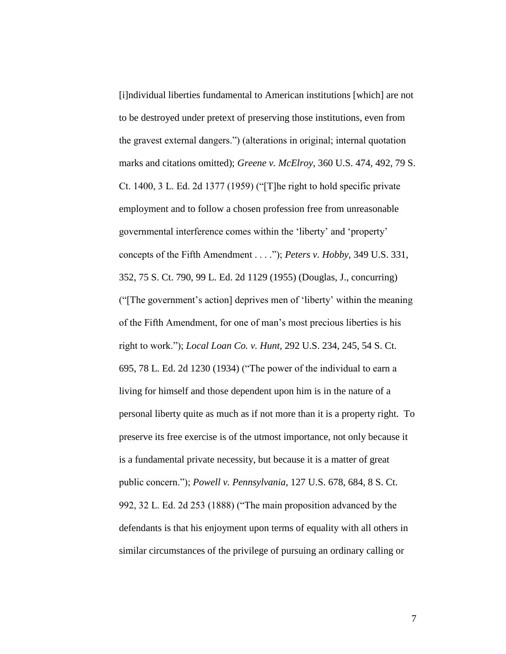[i]ndividual liberties fundamental to American institutions [which] are not to be destroyed under pretext of preserving those institutions, even from the gravest external dangers.") (alterations in original; internal quotation marks and citations omitted); *Greene v. McElroy*, 360 U.S. 474, 492, 79 S. Ct. 1400, 3 L. Ed. 2d 1377 (1959) ("[T]he right to hold specific private employment and to follow a chosen profession free from unreasonable governmental interference comes within the 'liberty' and 'property' concepts of the Fifth Amendment . . . ."); *Peters v. Hobby*, 349 U.S. 331, 352, 75 S. Ct. 790, 99 L. Ed. 2d 1129 (1955) (Douglas, J., concurring) ("[The government's action] deprives men of 'liberty' within the meaning of the Fifth Amendment, for one of man's most precious liberties is his right to work."); *Local Loan Co. v. Hunt*, 292 U.S. 234, 245, 54 S. Ct. 695, 78 L. Ed. 2d 1230 (1934) ("The power of the individual to earn a living for himself and those dependent upon him is in the nature of a personal liberty quite as much as if not more than it is a property right. To preserve its free exercise is of the utmost importance, not only because it is a fundamental private necessity, but because it is a matter of great public concern."); *Powell v. Pennsylvania*, 127 U.S. 678, 684, 8 S. Ct. 992, 32 L. Ed. 2d 253 (1888) ("The main proposition advanced by the defendants is that his enjoyment upon terms of equality with all others in similar circumstances of the privilege of pursuing an ordinary calling or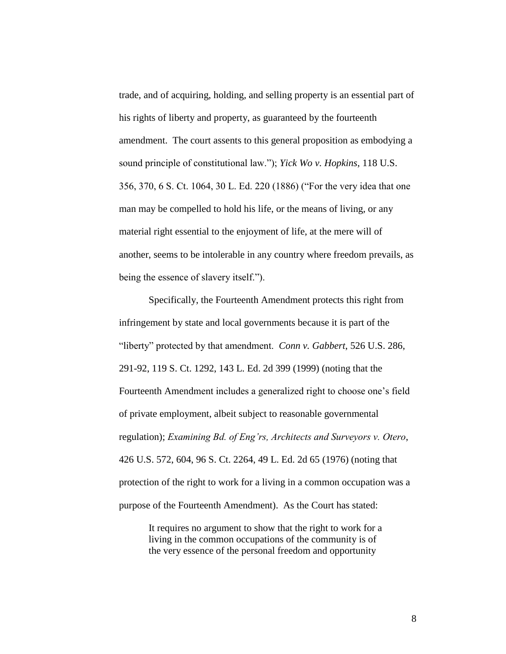trade, and of acquiring, holding, and selling property is an essential part of his rights of liberty and property, as guaranteed by the fourteenth amendment. The court assents to this general proposition as embodying a sound principle of constitutional law."); *Yick Wo v. Hopkins*, 118 U.S. 356, 370, 6 S. Ct. 1064, 30 L. Ed. 220 (1886) ("For the very idea that one man may be compelled to hold his life, or the means of living, or any material right essential to the enjoyment of life, at the mere will of another, seems to be intolerable in any country where freedom prevails, as being the essence of slavery itself.").

Specifically, the Fourteenth Amendment protects this right from infringement by state and local governments because it is part of the "liberty" protected by that amendment. *Conn v. Gabbert*, 526 U.S. 286, 291-92, 119 S. Ct. 1292, 143 L. Ed. 2d 399 (1999) (noting that the Fourteenth Amendment includes a generalized right to choose one's field of private employment, albeit subject to reasonable governmental regulation); *Examining Bd. of Eng'rs, Architects and Surveyors v. Otero*, 426 U.S. 572, 604, 96 S. Ct. 2264, 49 L. Ed. 2d 65 (1976) (noting that protection of the right to work for a living in a common occupation was a purpose of the Fourteenth Amendment). As the Court has stated:

> It requires no argument to show that the right to work for a living in the common occupations of the community is of the very essence of the personal freedom and opportunity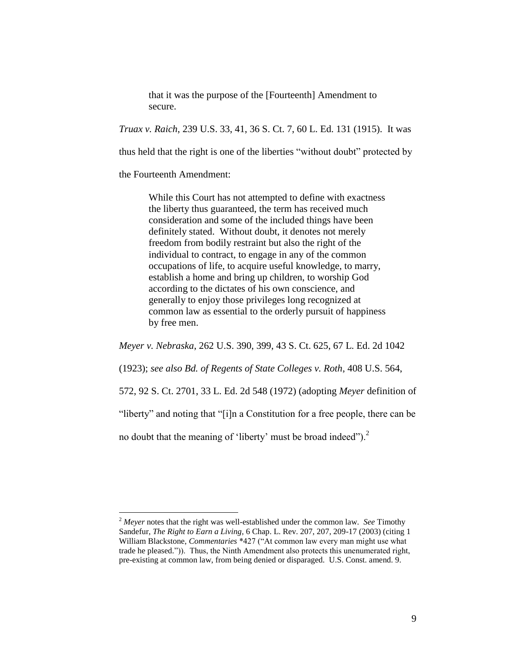that it was the purpose of the [Fourteenth] Amendment to secure.

*Truax v. Raich*, 239 U.S. 33, 41, 36 S. Ct. 7, 60 L. Ed. 131 (1915). It was

thus held that the right is one of the liberties "without doubt" protected by

the Fourteenth Amendment:

 $\overline{a}$ 

While this Court has not attempted to define with exactness the liberty thus guaranteed, the term has received much consideration and some of the included things have been definitely stated. Without doubt, it denotes not merely freedom from bodily restraint but also the right of the individual to contract, to engage in any of the common occupations of life, to acquire useful knowledge, to marry, establish a home and bring up children, to worship God according to the dictates of his own conscience, and generally to enjoy those privileges long recognized at common law as essential to the orderly pursuit of happiness by free men.

*Meyer v. Nebraska*, 262 U.S. 390, 399, 43 S. Ct. 625, 67 L. Ed. 2d 1042

(1923); *see also Bd. of Regents of State Colleges v. Roth*, 408 U.S. 564,

572, 92 S. Ct. 2701, 33 L. Ed. 2d 548 (1972) (adopting *Meyer* definition of

"liberty" and noting that "[i]n a Constitution for a free people, there can be

no doubt that the meaning of 'liberty' must be broad indeed"). $<sup>2</sup>$ </sup>

<sup>2</sup> *Meyer* notes that the right was well-established under the common law. *See* Timothy Sandefur, *The Right to Earn a Living*, 6 Chap. L. Rev. 207, 207, 209-17 (2003) (citing 1 William Blackstone, *Commentaries* \*427 ("At common law every man might use what trade he pleased.")). Thus, the Ninth Amendment also protects this unenumerated right, pre-existing at common law, from being denied or disparaged. U.S. Const. amend. 9.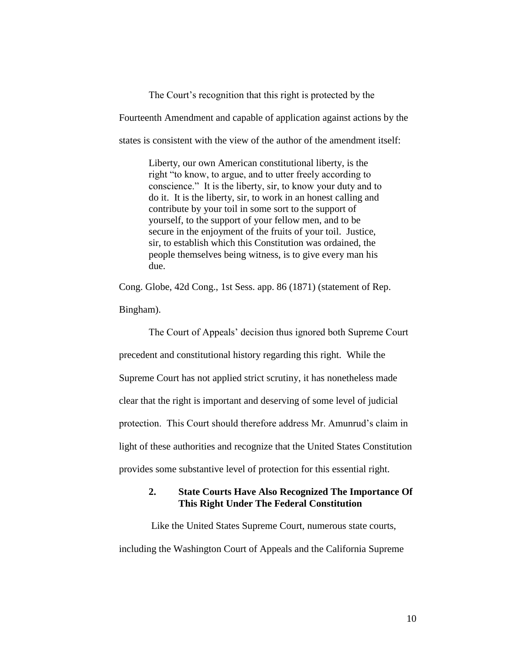The Court's recognition that this right is protected by the Fourteenth Amendment and capable of application against actions by the states is consistent with the view of the author of the amendment itself:

> Liberty, our own American constitutional liberty, is the right "to know, to argue, and to utter freely according to conscience." It is the liberty, sir, to know your duty and to do it. It is the liberty, sir, to work in an honest calling and contribute by your toil in some sort to the support of yourself, to the support of your fellow men, and to be secure in the enjoyment of the fruits of your toil. Justice, sir, to establish which this Constitution was ordained, the people themselves being witness, is to give every man his due.

Cong. Globe, 42d Cong., 1st Sess. app. 86 (1871) (statement of Rep.

Bingham).

The Court of Appeals' decision thus ignored both Supreme Court precedent and constitutional history regarding this right. While the Supreme Court has not applied strict scrutiny, it has nonetheless made clear that the right is important and deserving of some level of judicial protection. This Court should therefore address Mr. Amunrud's claim in light of these authorities and recognize that the United States Constitution provides some substantive level of protection for this essential right.

#### **2. State Courts Have Also Recognized The Importance Of This Right Under The Federal Constitution**

Like the United States Supreme Court, numerous state courts, including the Washington Court of Appeals and the California Supreme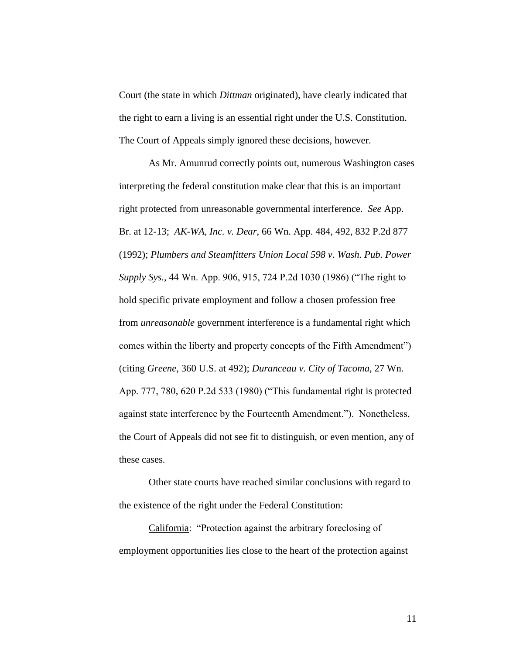Court (the state in which *Dittman* originated), have clearly indicated that the right to earn a living is an essential right under the U.S. Constitution. The Court of Appeals simply ignored these decisions, however.

As Mr. Amunrud correctly points out, numerous Washington cases interpreting the federal constitution make clear that this is an important right protected from unreasonable governmental interference. *See* App. Br. at 12-13; *AK-WA, Inc. v. Dear*, 66 Wn. App. 484, 492, 832 P.2d 877 (1992); *Plumbers and Steamfitters Union Local 598 v. Wash. Pub. Power Supply Sys.*, 44 Wn. App. 906, 915, 724 P.2d 1030 (1986) ("The right to hold specific private employment and follow a chosen profession free from *unreasonable* government interference is a fundamental right which comes within the liberty and property concepts of the Fifth Amendment") (citing *Greene*, 360 U.S. at 492); *Duranceau v. City of Tacoma*, 27 Wn. App. 777, 780, 620 P.2d 533 (1980) ("This fundamental right is protected against state interference by the Fourteenth Amendment."). Nonetheless, the Court of Appeals did not see fit to distinguish, or even mention, any of these cases.

Other state courts have reached similar conclusions with regard to the existence of the right under the Federal Constitution:

California: "Protection against the arbitrary foreclosing of employment opportunities lies close to the heart of the protection against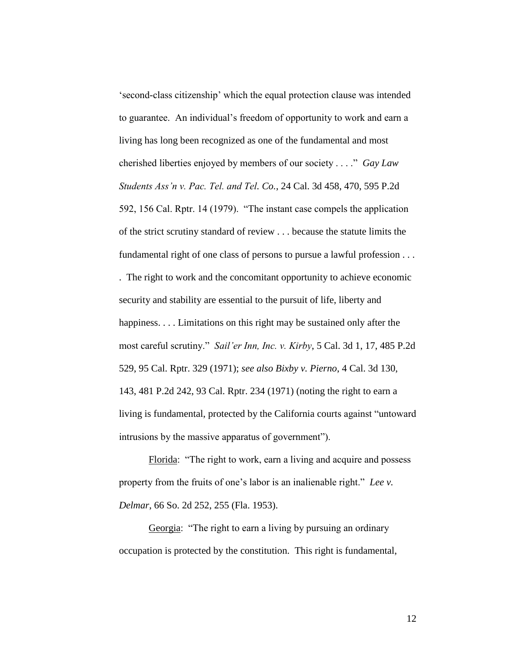'second-class citizenship' which the equal protection clause was intended to guarantee. An individual's freedom of opportunity to work and earn a living has long been recognized as one of the fundamental and most cherished liberties enjoyed by members of our society . . . ." *Gay Law Students Ass'n v. Pac. Tel. and Tel. Co.*, 24 Cal. 3d 458, 470, 595 P.2d 592, 156 Cal. Rptr. 14 (1979). "The instant case compels the application of the strict scrutiny standard of review . . . because the statute limits the fundamental right of one class of persons to pursue a lawful profession . . . . The right to work and the concomitant opportunity to achieve economic security and stability are essential to the pursuit of life, liberty and happiness. . . . Limitations on this right may be sustained only after the most careful scrutiny." *Sail'er Inn, Inc. v. Kirby*, 5 Cal. 3d 1, 17, 485 P.2d 529, 95 Cal. Rptr. 329 (1971); *see also Bixby v. Pierno*, 4 Cal. 3d 130, 143, 481 P.2d 242, 93 Cal. Rptr. 234 (1971) (noting the right to earn a living is fundamental, protected by the California courts against "untoward intrusions by the massive apparatus of government").

Florida: "The right to work, earn a living and acquire and possess property from the fruits of one's labor is an inalienable right." *Lee v. Delmar*, 66 So. 2d 252, 255 (Fla. 1953).

Georgia: "The right to earn a living by pursuing an ordinary occupation is protected by the constitution. This right is fundamental,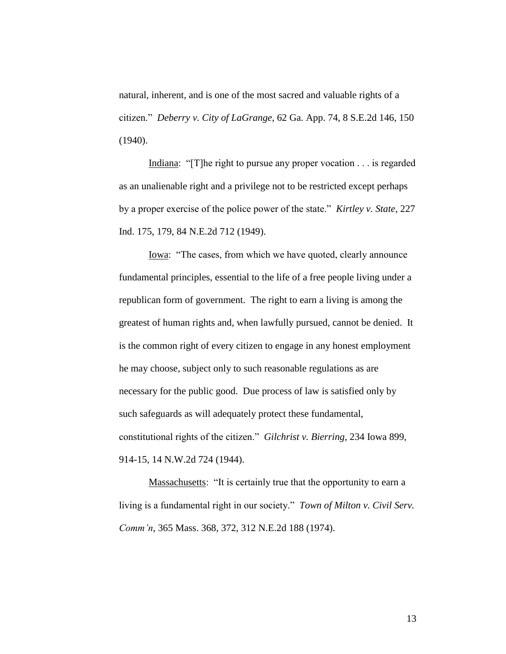natural, inherent, and is one of the most sacred and valuable rights of a citizen." *Deberry v. City of LaGrange*, 62 Ga. App. 74, 8 S.E.2d 146, 150 (1940).

Indiana: "[T]he right to pursue any proper vocation . . . is regarded as an unalienable right and a privilege not to be restricted except perhaps by a proper exercise of the police power of the state." *Kirtley v. State*, 227 Ind. 175, 179, 84 N.E.2d 712 (1949).

Iowa: "The cases, from which we have quoted, clearly announce fundamental principles, essential to the life of a free people living under a republican form of government. The right to earn a living is among the greatest of human rights and, when lawfully pursued, cannot be denied. It is the common right of every citizen to engage in any honest employment he may choose, subject only to such reasonable regulations as are necessary for the public good. Due process of law is satisfied only by such safeguards as will adequately protect these fundamental, constitutional rights of the citizen." *Gilchrist v. Bierring*, 234 Iowa 899, 914-15, 14 N.W.2d 724 (1944).

Massachusetts: "It is certainly true that the opportunity to earn a living is a fundamental right in our society." *Town of Milton v. Civil Serv. Comm'n*, 365 Mass. 368, 372, 312 N.E.2d 188 (1974).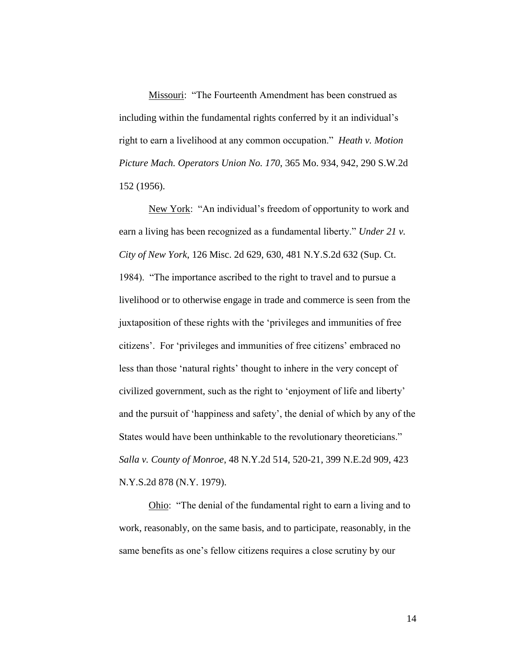Missouri: "The Fourteenth Amendment has been construed as including within the fundamental rights conferred by it an individual's right to earn a livelihood at any common occupation." *Heath v. Motion Picture Mach. Operators Union No. 170*, 365 Mo. 934, 942, 290 S.W.2d 152 (1956).

New York: "An individual's freedom of opportunity to work and earn a living has been recognized as a fundamental liberty." *Under 21 v. City of New York*, 126 Misc. 2d 629, 630, 481 N.Y.S.2d 632 (Sup. Ct. 1984). "The importance ascribed to the right to travel and to pursue a livelihood or to otherwise engage in trade and commerce is seen from the juxtaposition of these rights with the 'privileges and immunities of free citizens'. For 'privileges and immunities of free citizens' embraced no less than those 'natural rights' thought to inhere in the very concept of civilized government, such as the right to 'enjoyment of life and liberty' and the pursuit of 'happiness and safety', the denial of which by any of the States would have been unthinkable to the revolutionary theoreticians." *Salla v. County of Monroe*, 48 N.Y.2d 514, 520-21, 399 N.E.2d 909, 423 N.Y.S.2d 878 (N.Y. 1979).

Ohio: "The denial of the fundamental right to earn a living and to work, reasonably, on the same basis, and to participate, reasonably, in the same benefits as one's fellow citizens requires a close scrutiny by our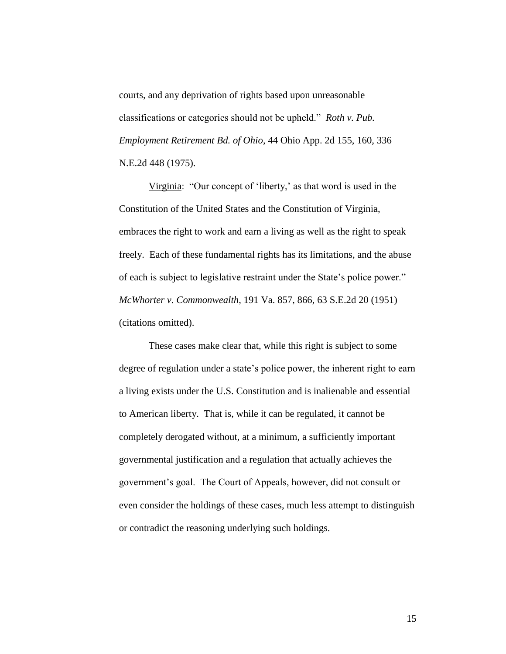courts, and any deprivation of rights based upon unreasonable classifications or categories should not be upheld." *Roth v. Pub. Employment Retirement Bd. of Ohio*, 44 Ohio App. 2d 155, 160, 336 N.E.2d 448 (1975).

Virginia: "Our concept of 'liberty,' as that word is used in the Constitution of the United States and the Constitution of Virginia, embraces the right to work and earn a living as well as the right to speak freely. Each of these fundamental rights has its limitations, and the abuse of each is subject to legislative restraint under the State's police power." *McWhorter v. Commonwealth*, 191 Va. 857, 866, 63 S.E.2d 20 (1951) (citations omitted).

These cases make clear that, while this right is subject to some degree of regulation under a state's police power, the inherent right to earn a living exists under the U.S. Constitution and is inalienable and essential to American liberty. That is, while it can be regulated, it cannot be completely derogated without, at a minimum, a sufficiently important governmental justification and a regulation that actually achieves the government's goal. The Court of Appeals, however, did not consult or even consider the holdings of these cases, much less attempt to distinguish or contradict the reasoning underlying such holdings.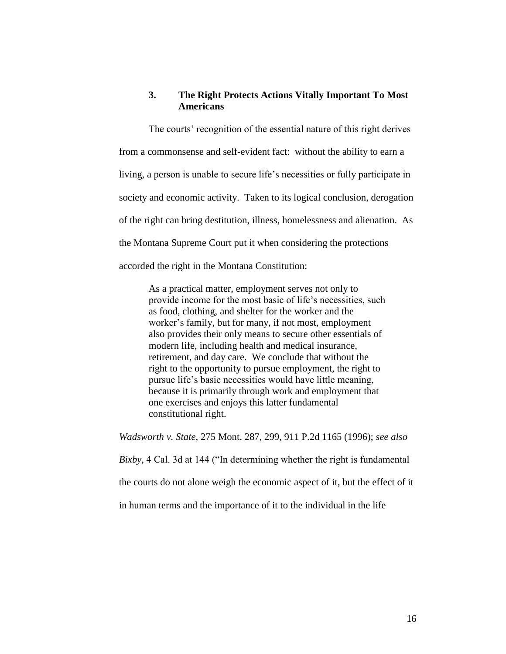#### **3. The Right Protects Actions Vitally Important To Most Americans**

The courts' recognition of the essential nature of this right derives from a commonsense and self-evident fact: without the ability to earn a living, a person is unable to secure life's necessities or fully participate in society and economic activity. Taken to its logical conclusion, derogation of the right can bring destitution, illness, homelessness and alienation. As the Montana Supreme Court put it when considering the protections accorded the right in the Montana Constitution:

As a practical matter, employment serves not only to provide income for the most basic of life's necessities, such as food, clothing, and shelter for the worker and the worker's family, but for many, if not most, employment also provides their only means to secure other essentials of modern life, including health and medical insurance, retirement, and day care. We conclude that without the right to the opportunity to pursue employment, the right to pursue life's basic necessities would have little meaning, because it is primarily through work and employment that one exercises and enjoys this latter fundamental constitutional right.

*Wadsworth v. State*, 275 Mont. 287, 299, 911 P.2d 1165 (1996); *see also Bixby*, 4 Cal. 3d at 144 ("In determining whether the right is fundamental the courts do not alone weigh the economic aspect of it, but the effect of it in human terms and the importance of it to the individual in the life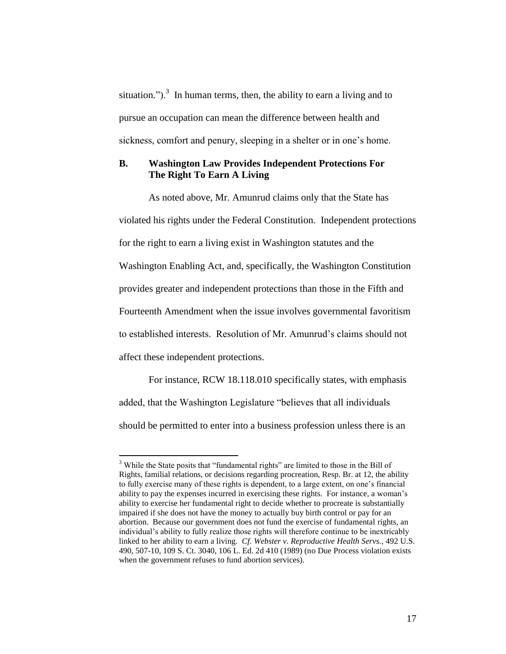situation.").<sup>3</sup> In human terms, then, the ability to earn a living and to pursue an occupation can mean the difference between health and sickness, comfort and penury, sleeping in a shelter or in one's home.

#### **B. Washington Law Provides Independent Protections For The Right To Earn A Living**

As noted above, Mr. Amunrud claims only that the State has violated his rights under the Federal Constitution. Independent protections for the right to earn a living exist in Washington statutes and the Washington Enabling Act, and, specifically, the Washington Constitution provides greater and independent protections than those in the Fifth and Fourteenth Amendment when the issue involves governmental favoritism to established interests. Resolution of Mr. Amunrud's claims should not affect these independent protections.

For instance, RCW 18.118.010 specifically states, with emphasis added, that the Washington Legislature "believes that all individuals should be permitted to enter into a business profession unless there is an

 $\overline{a}$ 

<sup>&</sup>lt;sup>3</sup> While the State posits that "fundamental rights" are limited to those in the Bill of Rights, familial relations, or decisions regarding procreation, Resp. Br. at 12, the ability to fully exercise many of these rights is dependent, to a large extent, on one's financial ability to pay the expenses incurred in exercising these rights. For instance, a woman's ability to exercise her fundamental right to decide whether to procreate is substantially impaired if she does not have the money to actually buy birth control or pay for an abortion. Because our government does not fund the exercise of fundamental rights, an individual's ability to fully realize those rights will therefore continue to be inextricably linked to her ability to earn a living. *Cf. Webster v. Reproductive Health Servs.*, 492 U.S. 490, 507-10, 109 S. Ct. 3040, 106 L. Ed. 2d 410 (1989) (no Due Process violation exists when the government refuses to fund abortion services).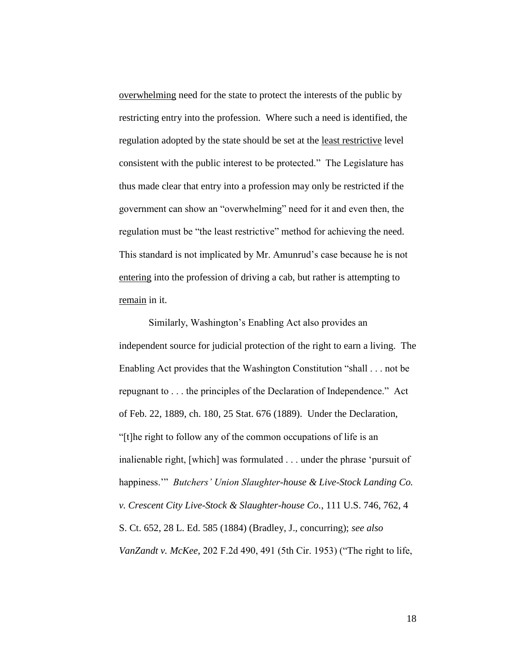overwhelming need for the state to protect the interests of the public by restricting entry into the profession. Where such a need is identified, the regulation adopted by the state should be set at the least restrictive level consistent with the public interest to be protected." The Legislature has thus made clear that entry into a profession may only be restricted if the government can show an "overwhelming" need for it and even then, the regulation must be "the least restrictive" method for achieving the need. This standard is not implicated by Mr. Amunrud's case because he is not entering into the profession of driving a cab, but rather is attempting to remain in it.

Similarly, Washington's Enabling Act also provides an independent source for judicial protection of the right to earn a living. The Enabling Act provides that the Washington Constitution "shall . . . not be repugnant to . . . the principles of the Declaration of Independence." Act of Feb. 22, 1889, ch. 180, 25 Stat. 676 (1889). Under the Declaration, "[t]he right to follow any of the common occupations of life is an inalienable right, [which] was formulated . . . under the phrase 'pursuit of happiness.'" *Butchers' Union Slaughter-house & Live-Stock Landing Co. v. Crescent City Live-Stock & Slaughter-house Co.*, 111 U.S. 746, 762, 4 S. Ct. 652, 28 L. Ed. 585 (1884) (Bradley, J., concurring); *see also VanZandt v. McKee*, 202 F.2d 490, 491 (5th Cir. 1953) ("The right to life,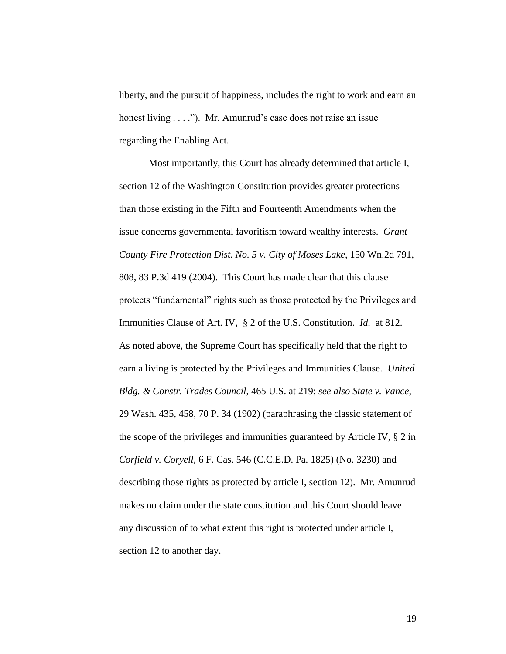liberty, and the pursuit of happiness, includes the right to work and earn an honest living . . . ."). Mr. Amunrud's case does not raise an issue regarding the Enabling Act.

Most importantly, this Court has already determined that article I, section 12 of the Washington Constitution provides greater protections than those existing in the Fifth and Fourteenth Amendments when the issue concerns governmental favoritism toward wealthy interests. *Grant County Fire Protection Dist. No. 5 v. City of Moses Lake*, 150 Wn.2d 791, 808, 83 P.3d 419 (2004). This Court has made clear that this clause protects "fundamental" rights such as those protected by the Privileges and Immunities Clause of Art. IV, § 2 of the U.S. Constitution. *Id.* at 812. As noted above, the Supreme Court has specifically held that the right to earn a living is protected by the Privileges and Immunities Clause. *United Bldg. & Constr. Trades Council*, 465 U.S. at 219; *see also State v. Vance*, 29 Wash. 435, 458, 70 P. 34 (1902) (paraphrasing the classic statement of the scope of the privileges and immunities guaranteed by Article IV, § 2 in *Corfield v. Coryell*, 6 F. Cas. 546 (C.C.E.D. Pa. 1825) (No. 3230) and describing those rights as protected by article I, section 12). Mr. Amunrud makes no claim under the state constitution and this Court should leave any discussion of to what extent this right is protected under article I, section 12 to another day.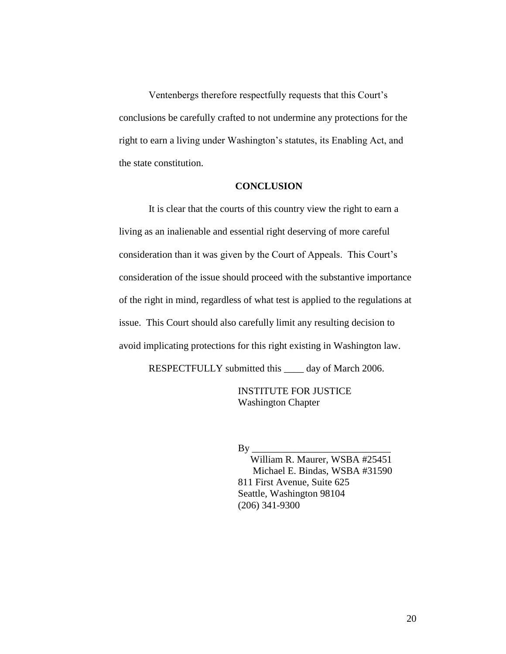Ventenbergs therefore respectfully requests that this Court's conclusions be carefully crafted to not undermine any protections for the right to earn a living under Washington's statutes, its Enabling Act, and the state constitution.

#### **CONCLUSION**

It is clear that the courts of this country view the right to earn a living as an inalienable and essential right deserving of more careful consideration than it was given by the Court of Appeals. This Court's consideration of the issue should proceed with the substantive importance of the right in mind, regardless of what test is applied to the regulations at issue. This Court should also carefully limit any resulting decision to avoid implicating protections for this right existing in Washington law.

RESPECTFULLY submitted this \_\_\_\_ day of March 2006.

INSTITUTE FOR JUSTICE Washington Chapter

#### $By$

 William R. Maurer, WSBA #25451 Michael E. Bindas, WSBA #31590 811 First Avenue, Suite 625 Seattle, Washington 98104 (206) 341-9300